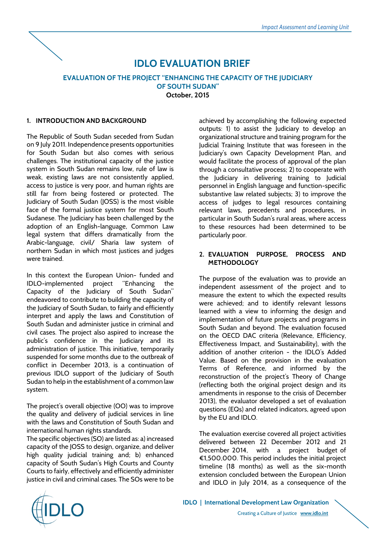

# **IDLO EVALUATION BRIEF**

# **EVALUATION OF THE PROJECT "ENHANCING THE CAPACITY OF THE JUDICIARY OF SOUTH SUDAN" October, 2015**

# **1. INTRODUCTION AND BACKGROUND**

The Republic of South Sudan seceded from Sudan on 9 July 2011. Independence presents opportunities for South Sudan but also comes with serious challenges. The institutional capacity of the justice system in South Sudan remains low, rule of law is weak, existing laws are not consistently applied, access to justice is very poor, and human rights are still far from being fostered or protected. The Judiciary of South Sudan (JOSS) is the most visible face of the formal justice system for most South Sudanese. The Judiciary has been challenged by the adoption of an English-language, Common Law legal system that differs dramatically from the Arabic-language, civil/ Sharia law system of northern Sudan in which most justices and judges were trained.

In this context the European Union- funded and IDLO-implemented project "Enhancing the Capacity of the Judiciary of South Sudan" endeavored to contribute to building the capacity of the Judiciary of South Sudan, to fairly and efficiently interpret and apply the laws and Constitution of South Sudan and administer justice in criminal and civil cases. The project also aspired to increase the public's confidence in the Judiciary and its administration of justice. This initiative, temporarily suspended for some months due to the outbreak of conflict in December 2013, is a continuation of previous IDLO support of the Judiciary of South Sudan to help in the establishment of a common law system.

The project's overall objective (OO) was to improve the quality and delivery of judicial services in line with the laws and Constitution of South Sudan and international human rights standards.

The specific objectives (SO) are listed as: a) increased capacity of the JOSS to design, organize, and deliver high quality judicial training and; b) enhanced capacity of South Sudan's High Courts and County Courts to fairly, effectively and efficiently administer justice in civil and criminal cases. The SOs were to be

achieved by accomplishing the following expected outputs: 1) to assist the Judiciary to develop an organizational structure and training program for the Judicial Training Institute that was foreseen in the Judiciary's own Capacity Development Plan, and would facilitate the process of approval of the plan through a consultative process; 2) to cooperate with the Judiciary in delivering training to Judicial personnel in English language and function-specific substantive law related subjects; 3) to improve the access of judges to legal resources containing relevant laws, precedents and procedures, in particular in South Sudan's rural areas, where access to these resources had been determined to be particularly poor.

# **2. EVALUATION PURPOSE, PROCESS AND METHODOLOGY**

The purpose of the evaluation was to provide an independent assessment of the project and to measure the extent to which the expected results were achieved; and to identify relevant lessons learned with a view to informing the design and implementation of future projects and programs in South Sudan and beyond. The evaluation focused on the OECD DAC criteria (Relevance, Efficiency, Effectiveness Impact, and Sustainability), with the addition of another criterion - the IDLO's Added Value. Based on the provision in the evaluation Terms of Reference, and informed by the reconstruction of the project's Theory of Change (reflecting both the original project design and its amendments in response to the crisis of December 2013), the evaluator developed a set of evaluation questions (EQs) and related indicators, agreed upon by the EU and IDLO.

The evaluation exercise covered all project activities delivered between 22 December 2012 and 21 December 2014, with a project budget of €1,500,000. This period includes the initial project timeline (18 months) as well as the six-month extension concluded between the European Union and IDLO in July 2014, as a consequence of the

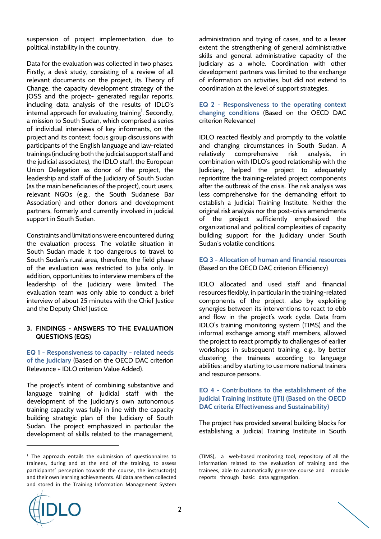suspension of project implementation, due to political instability in the country.

Data for the evaluation was collected in two phases. Firstly, a desk study, consisting of a review of all relevant documents on the project, its Theory of Change, the capacity development strategy of the JOSS and the project- generated regular reports, including data analysis of the results of IDLO's  $internal$  approach for evaluating training<sup>1</sup>. Secondly, a mission to South Sudan, which comprised a series of individual interviews of key informants, on the project and its context; focus group discussions with participants of the English language and law-related trainings (including both the judicial support staff and the judicial associates), the IDLO staff, the European Union Delegation as donor of the project, the leadership and staff of the Judiciary of South Sudan (as the main beneficiaries of the project), court users, relevant NGOs (e.g., the South Sudanese Bar Association) and other donors and development partners, formerly and currently involved in judicial support in South Sudan.

Constraints and limitations were encountered during the evaluation process. The volatile situation in South Sudan made it too dangerous to travel to South Sudan's rural area, therefore, the field phase of the evaluation was restricted to Juba only. In addition, opportunities to interview members of the leadership of the Judiciary were limited. The evaluation team was only able to conduct a brief interview of about 25 minutes with the Chief Justice and the Deputy Chief Justice.

#### **3. FINDINGS - ANSWERS TO THE EVALUATION QUESTIONS (EQS)**

**EQ 1 - Responsiveness to capacity - related needs of the Judiciary** (Based on the OECD DAC criterion Relevance + IDLO criterion Value Added).

The project's intent of combining substantive and language training of judicial staff with the development of the Judiciary's own autonomous training capacity was fully in line with the capacity building strategic plan of the Judiciary of South Sudan. The project emphasized in particular the development of skills related to the management,

administration and trying of cases, and to a lesser extent the strengthening of general administrative skills and general administrative capacity of the Judiciary as a whole. Coordination with other development partners was limited to the exchange of information on activities, but did not extend to coordination at the level of support strategies.

#### **EQ 2 - Responsiveness to the operating context changing conditions** (Based on the OECD DAC criterion Relevance)

IDLO reacted flexibly and promptly to the volatile and changing circumstances in South Sudan. A relatively comprehensive risk analysis, in combination with IDLO's good relationship with the Judiciary, helped the project to adequately reprioritize the training-related project components after the outbreak of the crisis. The risk analysis was less comprehensive for the demanding effort to establish a Judicial Training Institute. Neither the original risk analysis nor the post-crisis amendments of the project sufficiently emphasized the organizational and political complexities of capacity building support for the Judiciary under South Sudan's volatile conditions.

#### **EQ 3 - Allocation of human and financial resources** (Based on the OECD DAC criterion Efficiency)

IDLO allocated and used staff and financial resources flexibly, in particular in the training-related components of the project, also by exploiting synergies between its interventions to react to ebb and flow in the project's work cycle. Data from IDLO's training monitoring system (TIMS) and the informal exchange among staff members, allowed the project to react promptly to challenges of earlier workshops in subsequent training, e.g., by better clustering the trainees according to language abilities; and by starting to use more national trainers and resource persons.

#### **EQ 4 - Contributions to the establishment of the Judicial Training Institute (JTI) (Based on the OECD DAC criteria Effectiveness and Sustainability)**

The project has provided several building blocks for establishing a Judicial Training Institute in South



l



 $1$  The approach entails the submission of questionnaires to trainees, during and at the end of the training, to assess participants' perception towards the course, the instructor(s) and their own learning achievements. All data are then collected and stored in the Training Information Management System

<sup>(</sup>TIMS), a web-based monitoring tool, repository of all the information related to the evaluation of training and the trainees, able to automatically generate course and module reports through basic data aggregation.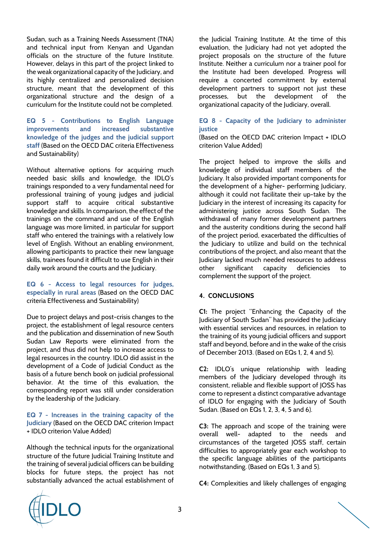Sudan, such as a Training Needs Assessment (TNA) and technical input from Kenyan and Ugandan officials on the structure of the future Institute. However, delays in this part of the project linked to the weak organizational capacity of the Judiciary, and its highly centralized and personalized decision structure, meant that the development of this organizational structure and the design of a curriculum for the Institute could not be completed.

**EQ 5 - Contributions to English Language improvements and increased substantive knowledge of the judges and the judicial support staff** (Based on the OECD DAC criteria Effectiveness and Sustainability)

Without alternative options for acquiring much needed basic skills and knowledge, the IDLO's trainings responded to a very fundamental need for professional training of young judges and judicial support staff to acquire critical substantive knowledge and skills. In comparison, the effect of the trainings on the command and use of the English language was more limited, in particular for support staff who entered the trainings with a relatively low level of English. Without an enabling environment, allowing participants to practice their new language skills, trainees found it difficult to use English in their daily work around the courts and the Judiciary.

**EQ 6 - Access to legal resources for judges, especially in rural areas** (Based on the OECD DAC criteria Effectiveness and Sustainability)

Due to project delays and post-crisis changes to the project, the establishment of legal resource centers and the publication and dissemination of new South Sudan Law Reports were eliminated from the project, and thus did not help to increase access to legal resources in the country. IDLO did assist in the development of a Code of Judicial Conduct as the basis of a future bench book on judicial professional behavior. At the time of this evaluation, the corresponding report was still under consideration by the leadership of the Judiciary.

**EQ 7 - Increases in the training capacity of the Judiciary** (Based on the OECD DAC criterion Impact + IDLO criterion Value Added)

Although the technical inputs for the organizational structure of the future Judicial Training Institute and the training of several judicial officers can be building blocks for future steps, the project has not substantially advanced the actual establishment of the Judicial Training Institute. At the time of this evaluation, the Judiciary had not yet adopted the project proposals on the structure of the future Institute. Neither a curriculum nor a trainer pool for the Institute had been developed. Progress will require a concerted commitment by external development partners to support not just these processes, but the development of the organizational capacity of the Judiciary, overall.

#### **EQ 8 - Capacity of the Judiciary to administer justice**

(Based on the OECD DAC criterion Impact + IDLO criterion Value Added)

The project helped to improve the skills and knowledge of individual staff members of the Judiciary. It also provided important components for the development of a higher- performing Judiciary, although it could not facilitate their up-take by the Judiciary in the interest of increasing its capacity for administering justice across South Sudan. The withdrawal of many former development partners and the austerity conditions during the second half of the project period, exacerbated the difficulties of the Judiciary to utilize and build on the technical contributions of the project, and also meant that the Judiciary lacked much needed resources to address other significant capacity deficiencies to complement the support of the project.

# **4. CONCLUSIONS**

**C1:** The project "Enhancing the Capacity of the Judiciary of South Sudan" has provided the Judiciary with essential services and resources, in relation to the training of its young judicial officers and support staff and beyond, before and in the wake of the crisis of December 2013. (Based on EQs 1, 2, 4 and 5).

**C2:** IDLO's unique relationship with leading members of the Judiciary developed through its consistent, reliable and flexible support of JOSS has come to represent a distinct comparative advantage of IDLO for engaging with the Judiciary of South Sudan. (Based on EQs 1, 2, 3, 4, 5 and 6).

**C3:** The approach and scope of the training were overall well- adapted to the needs and circumstances of the targeted JOSS staff, certain difficulties to appropriately gear each workshop to the specific language abilities of the participants notwithstanding. (Based on EQs 1, 3 and 5).

**C4:** Complexities and likely challenges of engaging